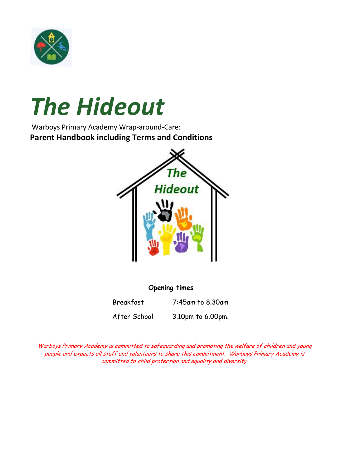

# *The Hideout*

Warboys Primary Academy Wrap-around-Care: **Parent Handbook including Terms and Conditions**



# **Opening times**

Breakfast 7:45am to 8.30am After School 3.10pm to 6.00pm.

Warboys Primary Academy is committed to safeguarding and promoting the welfare of children and young people and expects all staff and volunteers to share this commitment. Warboys Primary Academy is committed to child protection and equality and diversity.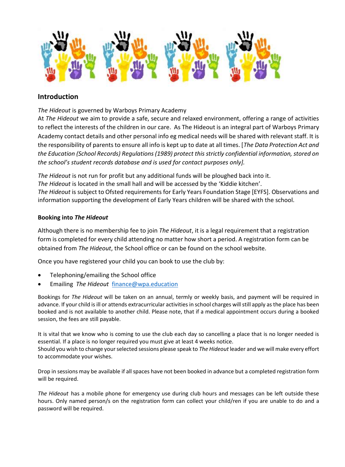

# **Introduction**

*The Hideout* is governed by Warboys Primary Academy

At *The Hideout* we aim to provide a safe, secure and relaxed environment, offering a range of activities to reflect the interests of the children in our care. As The Hideout is an integral part of Warboys Primary Academy contact details and other personal info eg medical needs will be shared with relevant staff. It is the responsibility of parents to ensure all info is kept up to date at all times. [*The Data Protection Act and the Education (School Records) Regulations (1989) protect this strictly confidential information, stored on the school's student records database and is used for contact purposes only].*

*The Hideout* is not run for profit but any additional funds will be ploughed back into it. *The Hideout* is located in the small hall and will be accessed by the 'Kiddie kitchen'. *The Hideout* is subject to Ofsted requirements for Early Years Foundation Stage [EYFS]. Observations and information supporting the development of Early Years children will be shared with the school.

## **Booking into** *The Hideout*

Although there is no membership fee to join *The Hideout*, it is a legal requirement that a registration form is completed for every child attending no matter how short a period. A registration form can be obtained from *The Hideout*, the School office or can be found on the school website.

Once you have registered your child you can book to use the club by:

- Telephoning/emailing the School office
- Emailing *The Hideout* finance@wpa.education

Bookings for *The Hideout* will be taken on an annual, termly or weekly basis, and payment will be required in advance. If your child is ill or attends extracurricular activities in school charges will still apply as the place has been booked and is not available to another child. Please note, that if a medical appointment occurs during a booked session, the fees are still payable.

It is vital that we know who is coming to use the club each day so cancelling a place that is no longer needed is essential. If a place is no longer required you must give at least 4 weeks notice. Should you wish to change your selected sessions please speak to *The Hideout* leader and we will make every effort to accommodate your wishes.

Drop in sessions may be available if all spaces have not been booked in advance but a completed registration form will be required.

*The Hideout* has a mobile phone for emergency use during club hours and messages can be left outside these hours. Only named person/s on the registration form can collect your child/ren if you are unable to do and a password will be required.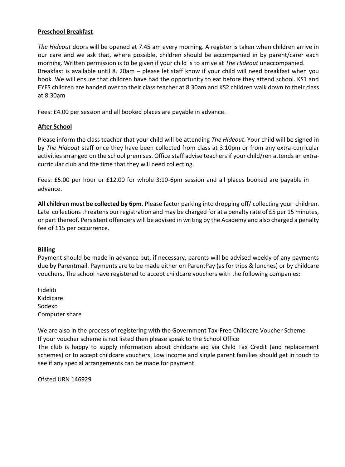## **Preschool Breakfast**

*The Hideout* doors will be opened at 7.45 am every morning. A register is taken when children arrive in our care and we ask that, where possible, children should be accompanied in by parent/carer each morning. Written permission is to be given if your child is to arrive at *The Hideout* unaccompanied. Breakfast is available until 8. 20am – please let staff know if your child will need breakfast when you book. We will ensure that children have had the opportunity to eat before they attend school. KS1 and EYFS children are handed over to their class teacher at 8.30am and KS2 children walk down to their class at 8:30am

Fees: £4.00 per session and all booked places are payable in advance.

## **After School**

Please inform the class teacher that your child will be attending *The Hideout*. Your child will be signed in by *The Hideout* staff once they have been collected from class at 3.10pm or from any extra-curricular activities arranged on the school premises. Office staff advise teachers if your child/ren attends an extracurricular club and the time that they will need collecting.

Fees: £5.00 per hour or £12.00 for whole 3:10-6pm session and all places booked are payable in advance.

**All children must be collected by 6pm**. Please factor parking into dropping off/ collecting your children. Late collections threatens our registration and may be charged for at a penalty rate of £5 per 15 minutes, or part thereof. Persistent offenders will be advised in writing by the Academy and also charged a penalty fee of £15 per occurrence.

#### **Billing**

Payment should be made in advance but, if necessary, parents will be advised weekly of any payments due by Parentmail. Payments are to be made either on ParentPay (as for trips & lunches) or by childcare vouchers. The school have registered to accept childcare vouchers with the following companies:

Fideliti Kiddicare Sodexo Computer share

We are also in the process of registering with the Government Tax-Free Childcare Voucher Scheme If your voucher scheme is not listed then please speak to the School Office

The club is happy to supply information about childcare aid via Child Tax Credit (and replacement schemes) or to accept childcare vouchers. Low income and single parent families should get in touch to see if any special arrangements can be made for payment.

Ofsted URN 146929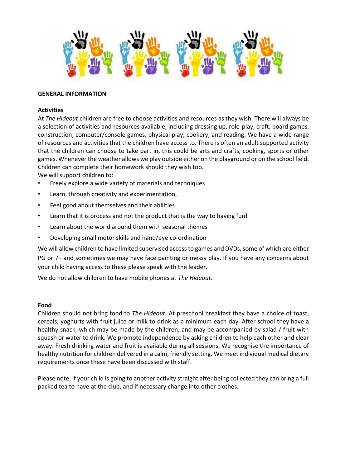

#### **GENERAL INFORMATION**

#### **Activities**

At *The Hideout* children are free to choose activities and resources as they wish. There will always be a selection of activities and resources available, including dressing up, role-play, craft, board games, construction, computer/console games, physical play, cookery, and reading. We have a wide range of resources and activities that the children have access to. There is often an adult supported activity that the children can choose to take part in, this could be arts and crafts, cooking, sports or other games. Whenever the weather allows we play outside either on the playground or on the school field. Children can complete their homework should they wish too. We will support children to:

- Freely explore a wide variety of materials and techniques
- Learn, through creativity and experimentation,
- Feel good about themselves and their abilities
- Learn that it is process and not the product that is the way to having fun!
- Learn about the world around them with seasonal themes
- Developing small motor skills and hand/eye co-ordination

We will allow children to have limited supervised access to games and DVDs, some of which are either PG or 7+ and sometimes we may have face painting or messy play. If you have any concerns about your child having access to these please speak with the leader.

We do not allow children to have mobile phones at *The Hideout*.

#### **Food**

Children should not bring food to *The Hideout*. At preschool breakfast they have a choice of toast, cereals, yoghurts with fruit juice or milk to drink as a minimum each day. After school they have a healthy snack, which may be made by the children, and may be accompanied by salad / fruit with squash or water to drink. We promote independence by asking children to help each other and clear away. Fresh drinking water and fruit is available during all sessions. We recognise the importance of healthy nutrition for children delivered in a calm, friendly setting. We meet individual medical dietary requirements once these have been discussed with staff.

Please note, if your child is going to another activity straight after being collected they can bring a full packed tea to have at the club, and if necessary change into other clothes.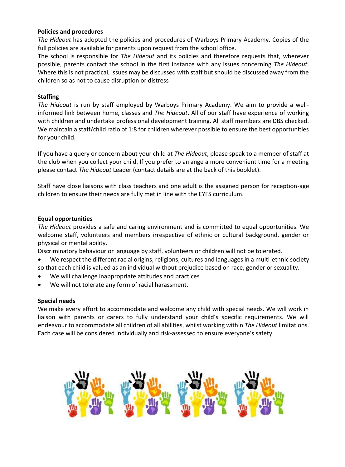#### **Policies and procedures**

*The Hideout* has adopted the policies and procedures of Warboys Primary Academy. Copies of the full policies are available for parents upon request from the school office.

The school is responsible for *The Hideout* and its policies and therefore requests that, wherever possible, parents contact the school in the first instance with any issues concerning *The Hideout*. Where this is not practical, issues may be discussed with staff but should be discussed away from the children so as not to cause disruption or distress

## **Staffing**

*The Hideout* is run by staff employed by Warboys Primary Academy. We aim to provide a wellinformed link between home, classes and *The Hideout*. All of our staff have experience of working with children and undertake professional development training. All staff members are DBS checked. We maintain a staff/child ratio of 1:8 for children wherever possible to ensure the best opportunities for your child.

If you have a query or concern about your child at *The Hideout*, please speak to a member of staff at the club when you collect your child. If you prefer to arrange a more convenient time for a meeting please contact *The Hideout* Leader (contact details are at the back of this booklet).

Staff have close liaisons with class teachers and one adult is the assigned person for reception-age children to ensure their needs are fully met in line with the EYFS curriculum.

## **Equal opportunities**

*The Hideout* provides a safe and caring environment and is committed to equal opportunities. We welcome staff, volunteers and members irrespective of ethnic or cultural background, gender or physical or mental ability.

Discriminatory behaviour or language by staff, volunteers or children will not be tolerated.

- We respect the different racial origins, religions, cultures and languages in a multi-ethnic society so that each child is valued as an individual without prejudice based on race, gender or sexuality.
- We will challenge inappropriate attitudes and practices
- We will not tolerate any form of racial harassment.

#### **Special needs**

We make every effort to accommodate and welcome any child with special needs. We will work in liaison with parents or carers to fully understand your child's specific requirements. We will endeavour to accommodate all children of all abilities, whilst working within *The Hideout* limitations. Each case will be considered individually and risk-assessed to ensure everyone's safety.

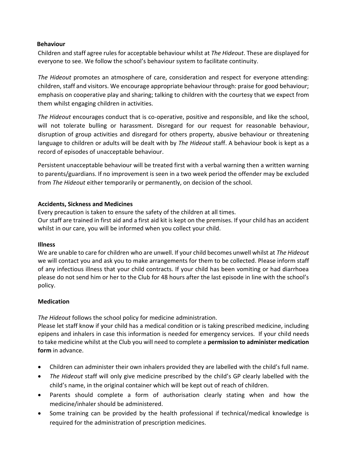## **Behaviour**

Children and staff agree rules for acceptable behaviour whilst at *The Hideout*. These are displayed for everyone to see. We follow the school's behaviour system to facilitate continuity.

*The Hideout* promotes an atmosphere of care, consideration and respect for everyone attending: children, staff and visitors. We encourage appropriate behaviour through: praise for good behaviour; emphasis on cooperative play and sharing; talking to children with the courtesy that we expect from them whilst engaging children in activities.

*The Hideout* encourages conduct that is co-operative, positive and responsible, and like the school, will not tolerate bulling or harassment. Disregard for our request for reasonable behaviour, disruption of group activities and disregard for others property, abusive behaviour or threatening language to children or adults will be dealt with by *The Hideout* staff. A behaviour book is kept as a record of episodes of unacceptable behaviour.

Persistent unacceptable behaviour will be treated first with a verbal warning then a written warning to parents/guardians. If no improvement is seen in a two week period the offender may be excluded from *The Hideout* either temporarily or permanently, on decision of the school.

## **Accidents, Sickness and Medicines**

Every precaution is taken to ensure the safety of the children at all times.

Our staff are trained in first aid and a first aid kit is kept on the premises. If your child has an accident whilst in our care, you will be informed when you collect your child.

#### **Illness**

We are unable to care for children who are unwell. If your child becomes unwell whilst at *The Hideout* we will contact you and ask you to make arrangements for them to be collected. Please inform staff of any infectious illness that your child contracts. If your child has been vomiting or had diarrhoea please do not send him or her to the Club for 48 hours after the last episode in line with the school's policy.

# **Medication**

*The Hideout* follows the school policy for medicine administration.

Please let staff know if your child has a medical condition or is taking prescribed medicine, including epipens and inhalers in case this information is needed for emergency services. If your child needs to take medicine whilst at the Club you will need to complete a **permission to administer medication form** in advance.

- Children can administer their own inhalers provided they are labelled with the child's full name.
- *The Hideout* staff will only give medicine prescribed by the child's GP clearly labelled with the child's name, in the original container which will be kept out of reach of children.
- Parents should complete a form of authorisation clearly stating when and how the medicine/inhaler should be administered.
- Some training can be provided by the health professional if technical/medical knowledge is required for the administration of prescription medicines.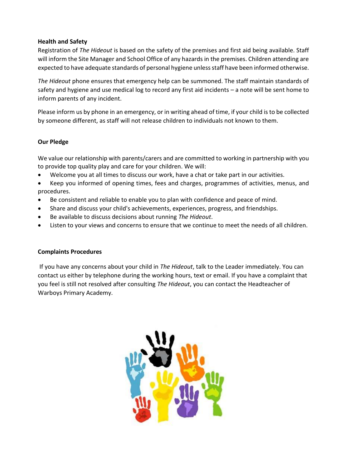# **Health and Safety**

Registration of *The Hideout* is based on the safety of the premises and first aid being available. Staff will inform the Site Manager and School Office of any hazards in the premises. Children attending are expected to have adequate standards of personal hygiene unless staff have been informed otherwise.

*The Hideout* phone ensures that emergency help can be summoned. The staff maintain standards of safety and hygiene and use medical log to record any first aid incidents – a note will be sent home to inform parents of any incident.

Please inform us by phone in an emergency, or in writing ahead of time, if your child is to be collected by someone different, as staff will not release children to individuals not known to them.

# **Our Pledge**

We value our relationship with parents/carers and are committed to working in partnership with you to provide top quality play and care for your children. We will:

- Welcome you at all times to discuss our work, have a chat or take part in our activities.
- Keep you informed of opening times, fees and charges, programmes of activities, menus, and procedures.
- Be consistent and reliable to enable you to plan with confidence and peace of mind.
- Share and discuss your child's achievements, experiences, progress, and friendships.
- Be available to discuss decisions about running *The Hideout*.
- Listen to your views and concerns to ensure that we continue to meet the needs of all children.

# **Complaints Procedures**

If you have any concerns about your child in *The Hideout*, talk to the Leader immediately. You can contact us either by telephone during the working hours, text or email. If you have a complaint that you feel is still not resolved after consulting *The Hideout*, you can contact the Headteacher of Warboys Primary Academy.